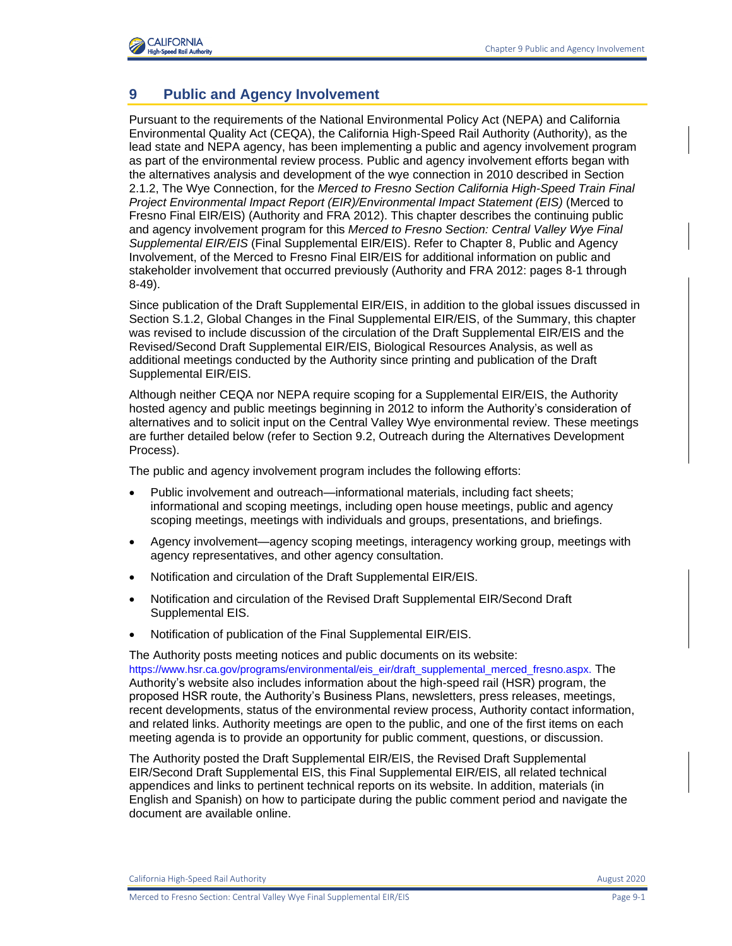

### **9 Public and Agency Involvement**

Pursuant to the requirements of the National Environmental Policy Act (NEPA) and California Environmental Quality Act (CEQA), the California High-Speed Rail Authority (Authority), as the lead state and NEPA agency, has been implementing a public and agency involvement program as part of the environmental review process. Public and agency involvement efforts began with the alternatives analysis and development of the wye connection in 2010 described in Section 2.1.2, The Wye Connection, for the *Merced to Fresno Section California High-Speed Train Final Project Environmental Impact Report (EIR)/Environmental Impact Statement (EIS)* (Merced to Fresno Final EIR/EIS) (Authority and FRA 2012). This chapter describes the continuing public and agency involvement program for this *Merced to Fresno Section: Central Valley Wye Final Supplemental EIR/EIS* (Final Supplemental EIR/EIS). Refer to Chapter 8, Public and Agency Involvement, of the Merced to Fresno Final EIR/EIS for additional information on public and stakeholder involvement that occurred previously (Authority and FRA 2012: pages 8-1 through 8-49).

Since publication of the Draft Supplemental EIR/EIS, in addition to the global issues discussed in Section S.1.2, Global Changes in the Final Supplemental EIR/EIS, of the Summary, this chapter was revised to include discussion of the circulation of the Draft Supplemental EIR/EIS and the Revised/Second Draft Supplemental EIR/EIS, Biological Resources Analysis, as well as additional meetings conducted by the Authority since printing and publication of the Draft Supplemental EIR/EIS.

Although neither CEQA nor NEPA require scoping for a Supplemental EIR/EIS, the Authority hosted agency and public meetings beginning in 2012 to inform the Authority's consideration of alternatives and to solicit input on the Central Valley Wye environmental review. These meetings are further detailed below (refer to Section 9.2, Outreach during the Alternatives Development Process).

The public and agency involvement program includes the following efforts:

- Public involvement and outreach—informational materials, including fact sheets; informational and scoping meetings, including open house meetings, public and agency scoping meetings, meetings with individuals and groups, presentations, and briefings.
- Agency involvement—agency scoping meetings, interagency working group, meetings with agency representatives, and other agency consultation.
- Notification and circulation of the Draft Supplemental EIR/EIS.
- Notification and circulation of the Revised Draft Supplemental EIR/Second Draft Supplemental EIS.
- Notification of publication of the Final Supplemental EIR/EIS.

The Authority posts meeting notices and public documents on its website: [https://www.hsr.ca.gov/programs/environmental/eis\\_eir/draft\\_supplemental\\_merced\\_fresno.aspx.](https://www.hsr.ca.gov/programs/environmental/eis_eir/draft_supplemental_merced_fresno.aspx.) The Authority's website also includes information about the high-speed rail (HSR) program, the proposed HSR route, the Authority's Business Plans, newsletters, press releases, meetings, recent developments, status of the environmental review process, Authority contact information, and related links. Authority meetings are open to the public, and one of the first items on each meeting agenda is to provide an opportunity for public comment, questions, or discussion.

The Authority posted the Draft Supplemental EIR/EIS, the Revised Draft Supplemental EIR/Second Draft Supplemental EIS, this Final Supplemental EIR/EIS, all related technical appendices and links to pertinent technical reports on its website. In addition, materials (in English and Spanish) on how to participate during the public comment period and navigate the document are available online.

California High-Speed Rail Authority August 2020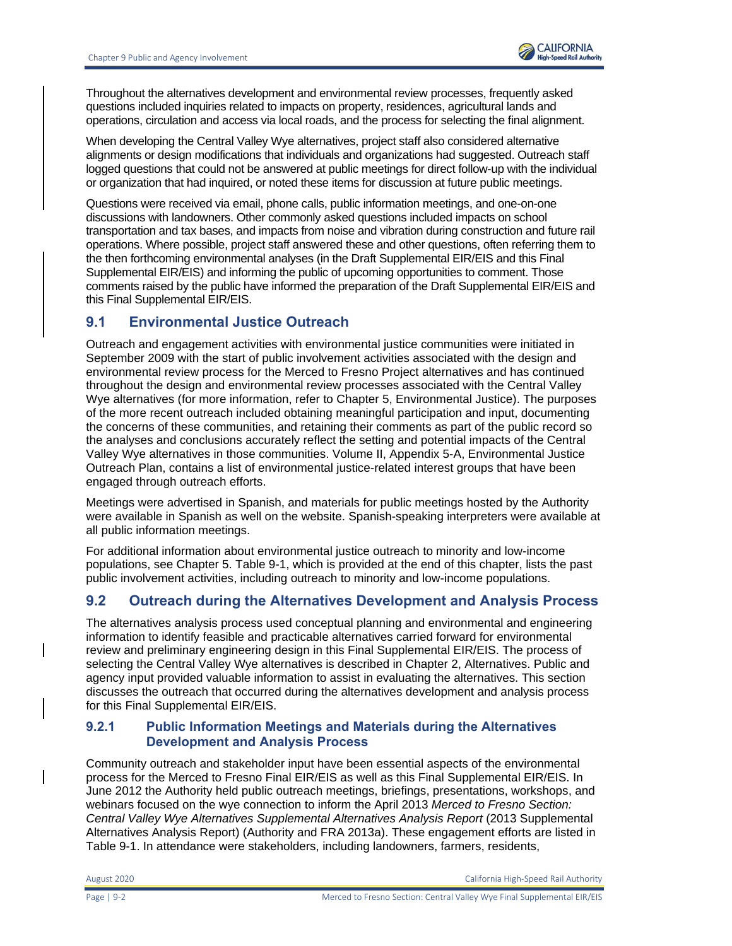

Throughout the alternatives development and environmental review processes, frequently asked questions included inquiries related to impacts on property, residences, agricultural lands and operations, circulation and access via local roads, and the process for selecting the final alignment.

When developing the Central Valley Wye alternatives, project staff also considered alternative alignments or design modifications that individuals and organizations had suggested. Outreach staff logged questions that could not be answered at public meetings for direct follow-up with the individual or organization that had inquired, or noted these items for discussion at future public meetings.

Questions were received via email, phone calls, public information meetings, and one-on-one discussions with landowners. Other commonly asked questions included impacts on school transportation and tax bases, and impacts from noise and vibration during construction and future rail operations. Where possible, project staff answered these and other questions, often referring them to the then forthcoming environmental analyses (in the Draft Supplemental EIR/EIS and this Final Supplemental EIR/EIS) and informing the public of upcoming opportunities to comment. Those comments raised by the public have informed the preparation of the Draft Supplemental EIR/EIS and this Final Supplemental EIR/EIS.

### **9.1 Environmental Justice Outreach**

Outreach and engagement activities with environmental justice communities were initiated in September 2009 with the start of public involvement activities associated with the design and environmental review process for the Merced to Fresno Project alternatives and has continued throughout the design and environmental review processes associated with the Central Valley Wye alternatives (for more information, refer to Chapter 5, Environmental Justice). The purposes of the more recent outreach included obtaining meaningful participation and input, documenting the concerns of these communities, and retaining their comments as part of the public record so the analyses and conclusions accurately reflect the setting and potential impacts of the Central Valley Wye alternatives in those communities. Volume II, Appendix 5-A, Environmental Justice Outreach Plan, contains a list of environmental justice-related interest groups that have been engaged through outreach efforts.

Meetings were advertised in Spanish, and materials for public meetings hosted by the Authority were available in Spanish as well on the website. Spanish-speaking interpreters were available at all public information meetings.

For additional information about environmental justice outreach to minority and low-income populations, see Chapter 5. [Table 9-1,](#page-6-0) which is provided at the end of this chapter, lists the past public involvement activities, including outreach to minority and low-income populations.

# **9.2 Outreach during the Alternatives Development and Analysis Process**

The alternatives analysis process used conceptual planning and environmental and engineering information to identify feasible and practicable alternatives carried forward for environmental review and preliminary engineering design in this Final Supplemental EIR/EIS. The process of selecting the Central Valley Wye alternatives is described in Chapter 2, Alternatives. Public and agency input provided valuable information to assist in evaluating the alternatives. This section discusses the outreach that occurred during the alternatives development and analysis process for this Final Supplemental EIR/EIS.

#### **9.2.1 Public Information Meetings and Materials during the Alternatives Development and Analysis Process**

Community outreach and stakeholder input have been essential aspects of the environmental process for the Merced to Fresno Final EIR/EIS as well as this Final Supplemental EIR/EIS. In June 2012 the Authority held public outreach meetings, briefings, presentations, workshops, and webinars focused on the wye connection to inform the April 2013 *Merced to Fresno Section: Central Valley Wye Alternatives Supplemental Alternatives Analysis Report* (2013 Supplemental Alternatives Analysis Report) (Authority and FRA 2013a). These engagement efforts are listed in [Table 9-1.](#page-6-0) In attendance were stakeholders, including landowners, farmers, residents,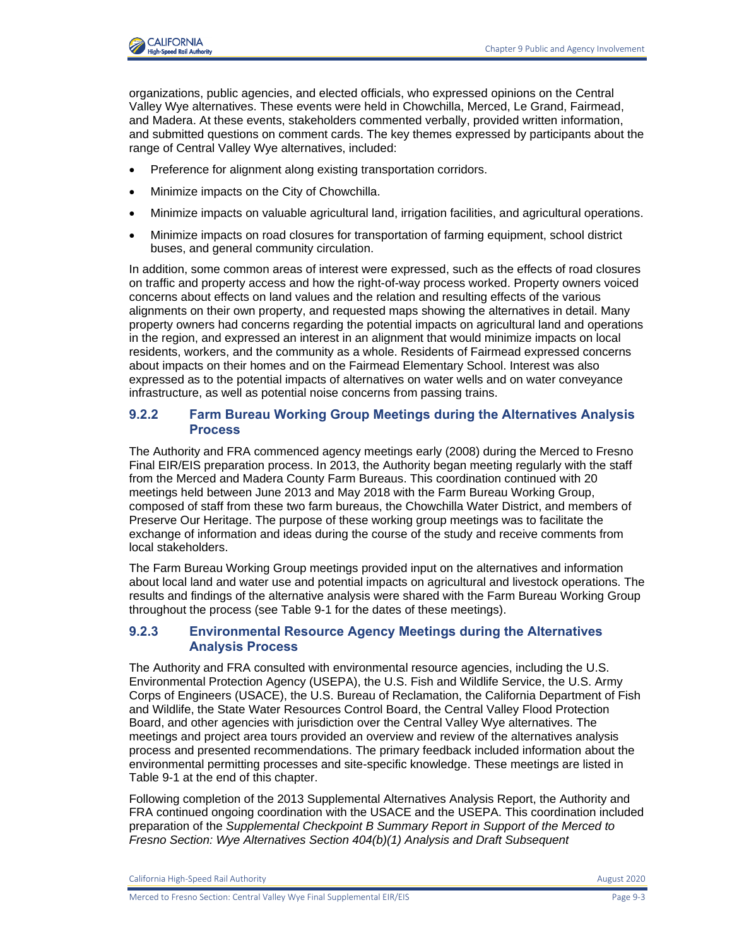

organizations, public agencies, and elected officials, who expressed opinions on the Central Valley Wye alternatives. These events were held in Chowchilla, Merced, Le Grand, Fairmead, and Madera. At these events, stakeholders commented verbally, provided written information, and submitted questions on comment cards. The key themes expressed by participants about the range of Central Valley Wye alternatives, included:

- Preference for alignment along existing transportation corridors.
- Minimize impacts on the City of Chowchilla.
- Minimize impacts on valuable agricultural land, irrigation facilities, and agricultural operations.
- Minimize impacts on road closures for transportation of farming equipment, school district buses, and general community circulation.

In addition, some common areas of interest were expressed, such as the effects of road closures on traffic and property access and how the right-of-way process worked. Property owners voiced concerns about effects on land values and the relation and resulting effects of the various alignments on their own property, and requested maps showing the alternatives in detail. Many property owners had concerns regarding the potential impacts on agricultural land and operations in the region, and expressed an interest in an alignment that would minimize impacts on local residents, workers, and the community as a whole. Residents of Fairmead expressed concerns about impacts on their homes and on the Fairmead Elementary School. Interest was also expressed as to the potential impacts of alternatives on water wells and on water conveyance infrastructure, as well as potential noise concerns from passing trains.

#### **9.2.2 Farm Bureau Working Group Meetings during the Alternatives Analysis Process**

The Authority and FRA commenced agency meetings early (2008) during the Merced to Fresno Final EIR/EIS preparation process. In 2013, the Authority began meeting regularly with the staff from the Merced and Madera County Farm Bureaus. This coordination continued with 20 meetings held between June 2013 and May 2018 with the Farm Bureau Working Group, composed of staff from these two farm bureaus, the Chowchilla Water District, and members of Preserve Our Heritage. The purpose of these working group meetings was to facilitate the exchange of information and ideas during the course of the study and receive comments from local stakeholders.

The Farm Bureau Working Group meetings provided input on the alternatives and information about local land and water use and potential impacts on agricultural and livestock operations. The results and findings of the alternative analysis were shared with the Farm Bureau Working Group throughout the process (see [Table 9-1](#page-6-0) for the dates of these meetings).

#### **9.2.3 Environmental Resource Agency Meetings during the Alternatives Analysis Process**

The Authority and FRA consulted with environmental resource agencies, including the U.S. Environmental Protection Agency (USEPA), the U.S. Fish and Wildlife Service, the U.S. Army Corps of Engineers (USACE), the U.S. Bureau of Reclamation, the California Department of Fish and Wildlife, the State Water Resources Control Board, the Central Valley Flood Protection Board, and other agencies with jurisdiction over the Central Valley Wye alternatives. The meetings and project area tours provided an overview and review of the alternatives analysis process and presented recommendations. The primary feedback included information about the environmental permitting processes and site-specific knowledge. These meetings are listed in [Table 9-1](#page-6-0) at the end of this chapter.

Following completion of the 2013 Supplemental Alternatives Analysis Report, the Authority and FRA continued ongoing coordination with the USACE and the USEPA. This coordination included preparation of the *Supplemental Checkpoint B Summary Report in Support of the Merced to Fresno Section: Wye Alternatives Section 404(b)(1) Analysis and Draft Subsequent* 

California High-Speed Rail Authority **August 2020** 2020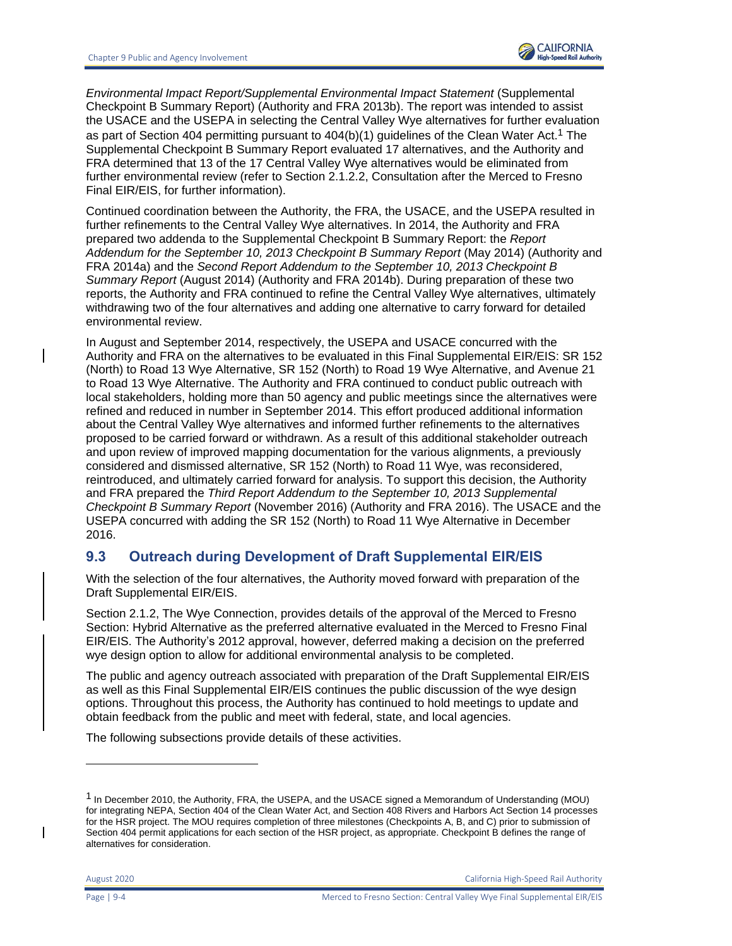

*Environmental Impact Report/Supplemental Environmental Impact Statement* (Supplemental Checkpoint B Summary Report) (Authority and FRA 2013b). The report was intended to assist the USACE and the USEPA in selecting the Central Valley Wye alternatives for further evaluation as part of Section 404 permitting pursuant to 404(b)(1) guidelines of the Clean Water Act.1 The Supplemental Checkpoint B Summary Report evaluated 17 alternatives, and the Authority and FRA determined that 13 of the 17 Central Valley Wye alternatives would be eliminated from further environmental review (refer to Section 2.1.2.2, Consultation after the Merced to Fresno Final EIR/EIS, for further information).

Continued coordination between the Authority, the FRA, the USACE, and the USEPA resulted in further refinements to the Central Valley Wye alternatives. In 2014, the Authority and FRA prepared two addenda to the Supplemental Checkpoint B Summary Report: the *Report Addendum for the September 10, 2013 Checkpoint B Summary Report* (May 2014) (Authority and FRA 2014a) and the *Second Report Addendum to the September 10, 2013 Checkpoint B Summary Report* (August 2014) (Authority and FRA 2014b). During preparation of these two reports, the Authority and FRA continued to refine the Central Valley Wye alternatives, ultimately withdrawing two of the four alternatives and adding one alternative to carry forward for detailed environmental review.

In August and September 2014, respectively, the USEPA and USACE concurred with the Authority and FRA on the alternatives to be evaluated in this Final Supplemental EIR/EIS: SR 152 (North) to Road 13 Wye Alternative, SR 152 (North) to Road 19 Wye Alternative, and Avenue 21 to Road 13 Wye Alternative. The Authority and FRA continued to conduct public outreach with local stakeholders, holding more than 50 agency and public meetings since the alternatives were refined and reduced in number in September 2014. This effort produced additional information about the Central Valley Wye alternatives and informed further refinements to the alternatives proposed to be carried forward or withdrawn. As a result of this additional stakeholder outreach and upon review of improved mapping documentation for the various alignments, a previously considered and dismissed alternative, SR 152 (North) to Road 11 Wye, was reconsidered, reintroduced, and ultimately carried forward for analysis. To support this decision, the Authority and FRA prepared the *Third Report Addendum to the September 10, 2013 Supplemental Checkpoint B Summary Report* (November 2016) (Authority and FRA 2016). The USACE and the USEPA concurred with adding the SR 152 (North) to Road 11 Wye Alternative in December 2016.

# **9.3 Outreach during Development of Draft Supplemental EIR/EIS**

With the selection of the four alternatives, the Authority moved forward with preparation of the Draft Supplemental EIR/EIS.

Section 2.1.2, The Wye Connection, provides details of the approval of the Merced to Fresno Section: Hybrid Alternative as the preferred alternative evaluated in the Merced to Fresno Final EIR/EIS. The Authority's 2012 approval, however, deferred making a decision on the preferred wye design option to allow for additional environmental analysis to be completed.

The public and agency outreach associated with preparation of the Draft Supplemental EIR/EIS as well as this Final Supplemental EIR/EIS continues the public discussion of the wye design options. Throughout this process, the Authority has continued to hold meetings to update and obtain feedback from the public and meet with federal, state, and local agencies.

The following subsections provide details of these activities.

<sup>1</sup> In December 2010, the Authority, FRA, the USEPA, and the USACE signed a Memorandum of Understanding (MOU) for integrating NEPA, Section 404 of the Clean Water Act, and Section 408 Rivers and Harbors Act Section 14 processes for the HSR project. The MOU requires completion of three milestones (Checkpoints A, B, and C) prior to submission of Section 404 permit applications for each section of the HSR project, as appropriate. Checkpoint B defines the range of alternatives for consideration.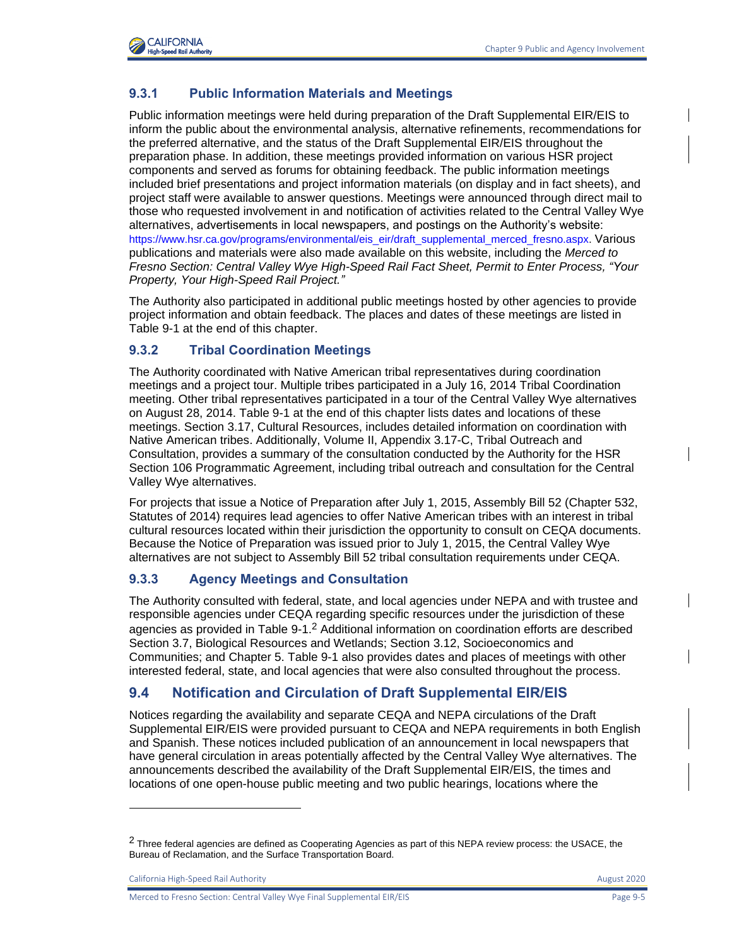

## **9.3.1 Public Information Materials and Meetings**

Public information meetings were held during preparation of the Draft Supplemental EIR/EIS to inform the public about the environmental analysis, alternative refinements, recommendations for the preferred alternative, and the status of the Draft Supplemental EIR/EIS throughout the preparation phase. In addition, these meetings provided information on various HSR project components and served as forums for obtaining feedback. The public information meetings included brief presentations and project information materials (on display and in fact sheets), and project staff were available to answer questions. Meetings were announced through direct mail to those who requested involvement in and notification of activities related to the Central Valley Wye alternatives, advertisements in local newspapers, and postings on the Authority's website: [https://www.hsr.ca.gov/programs/environmental/eis\\_eir/draft\\_supplemental\\_merced\\_fresno.aspx.](https://www.hsr.ca.gov/programs/environmental/eis_eir/draft_supplemental_merced_fresno.aspx?.) Various publications and materials were also made available on this website, including the *Merced to Fresno Section: Central Valley Wye High-Speed Rail Fact Sheet, Permit to Enter Process, "Your Property, Your High-Speed Rail Project."*

The Authority also participated in additional public meetings hosted by other agencies to provide project information and obtain feedback. The places and dates of these meetings are listed in [Table 9-1](#page-6-0) at the end of this chapter.

#### **9.3.2 Tribal Coordination Meetings**

The Authority coordinated with Native American tribal representatives during coordination meetings and a project tour. Multiple tribes participated in a July 16, 2014 Tribal Coordination meeting. Other tribal representatives participated in a tour of the Central Valley Wye alternatives on August 28, 2014. [Table 9-1](#page-6-0) at the end of this chapter lists dates and locations of these meetings. Section 3.17, Cultural Resources, includes detailed information on coordination with Native American tribes. Additionally, Volume II, Appendix 3.17-C, Tribal Outreach and Consultation, provides a summary of the consultation conducted by the Authority for the HSR Section 106 Programmatic Agreement, including tribal outreach and consultation for the Central Valley Wye alternatives.

For projects that issue a Notice of Preparation after July 1, 2015, Assembly Bill 52 (Chapter 532, Statutes of 2014) requires lead agencies to offer Native American tribes with an interest in tribal cultural resources located within their jurisdiction the opportunity to consult on CEQA documents. Because the Notice of Preparation was issued prior to July 1, 2015, the Central Valley Wye alternatives are not subject to Assembly Bill 52 tribal consultation requirements under CEQA.

### **9.3.3 Agency Meetings and Consultation**

The Authority consulted with federal, state, and local agencies under NEPA and with trustee and responsible agencies under CEQA regarding specific resources under the jurisdiction of these agencies as provided in [Table 9-1.](#page-6-0)<sup>2</sup> Additional information on coordination efforts are described Section 3.7, Biological Resources and Wetlands; Section 3.12, Socioeconomics and Communities; and Chapter 5. [Table 9-1](#page-6-0) also provides dates and places of meetings with other interested federal, state, and local agencies that were also consulted throughout the process.

# **9.4 Notification and Circulation of Draft Supplemental EIR/EIS**

Notices regarding the availability and separate CEQA and NEPA circulations of the Draft Supplemental EIR/EIS were provided pursuant to CEQA and NEPA requirements in both English and Spanish. These notices included publication of an announcement in local newspapers that have general circulation in areas potentially affected by the Central Valley Wye alternatives. The announcements described the availability of the Draft Supplemental EIR/EIS, the times and locations of one open-house public meeting and two public hearings, locations where the

California High-Speed Rail Authority **August 2020** 2020

 $2$  Three federal agencies are defined as Cooperating Agencies as part of this NEPA review process: the USACE, the Bureau of Reclamation, and the Surface Transportation Board.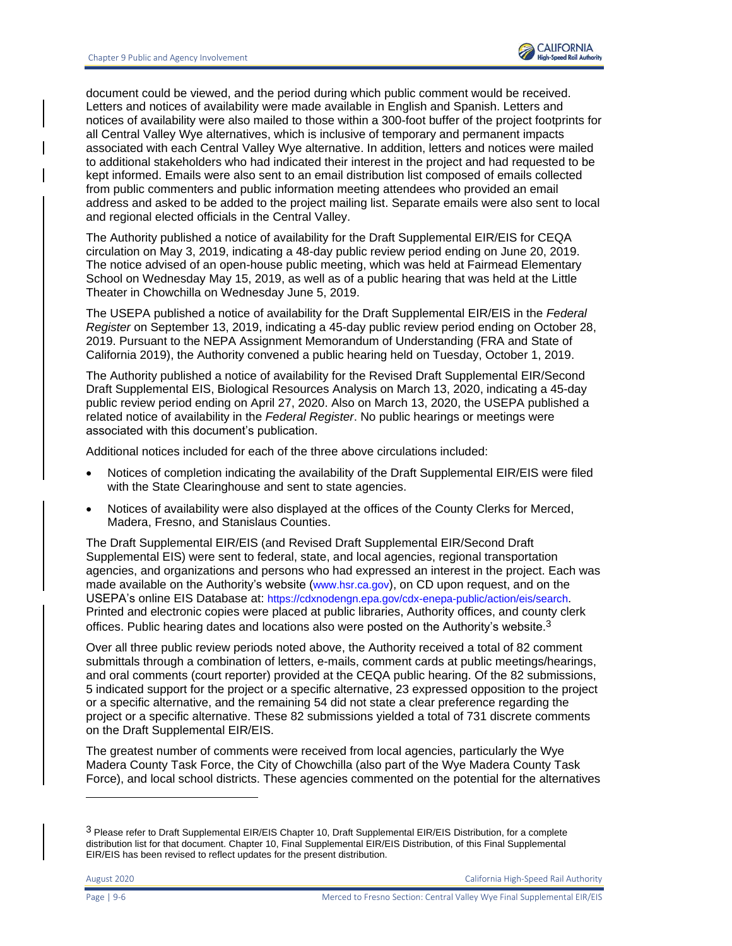

document could be viewed, and the period during which public comment would be received. Letters and notices of availability were made available in English and Spanish. Letters and notices of availability were also mailed to those within a 300-foot buffer of the project footprints for all Central Valley Wye alternatives, which is inclusive of temporary and permanent impacts associated with each Central Valley Wye alternative. In addition, letters and notices were mailed to additional stakeholders who had indicated their interest in the project and had requested to be kept informed. Emails were also sent to an email distribution list composed of emails collected from public commenters and public information meeting attendees who provided an email address and asked to be added to the project mailing list. Separate emails were also sent to local and regional elected officials in the Central Valley.

The Authority published a notice of availability for the Draft Supplemental EIR/EIS for CEQA circulation on May 3, 2019, indicating a 48-day public review period ending on June 20, 2019. The notice advised of an open-house public meeting, which was held at Fairmead Elementary School on Wednesday May 15, 2019, as well as of a public hearing that was held at the Little Theater in Chowchilla on Wednesday June 5, 2019.

The USEPA published a notice of availability for the Draft Supplemental EIR/EIS in the *Federal Register* on September 13, 2019, indicating a 45-day public review period ending on October 28, 2019. Pursuant to the NEPA Assignment Memorandum of Understanding (FRA and State of California 2019), the Authority convened a public hearing held on Tuesday, October 1, 2019.

The Authority published a notice of availability for the Revised Draft Supplemental EIR/Second Draft Supplemental EIS, Biological Resources Analysis on March 13, 2020, indicating a 45-day public review period ending on April 27, 2020. Also on March 13, 2020, the USEPA published a related notice of availability in the *Federal Register*. No public hearings or meetings were associated with this document's publication.

Additional notices included for each of the three above circulations included:

- Notices of completion indicating the availability of the Draft Supplemental EIR/EIS were filed with the State Clearinghouse and sent to state agencies.
- Notices of availability were also displayed at the offices of the County Clerks for Merced, Madera, Fresno, and Stanislaus Counties.

The Draft Supplemental EIR/EIS (and Revised Draft Supplemental EIR/Second Draft Supplemental EIS) were sent to federal, state, and local agencies, regional transportation agencies, and organizations and persons who had expressed an interest in the project. Each was made available on the Authority's website ([www.hsr.ca.gov](http://www.hsr.ca.gov/)), on CD upon request, and on the USEPA's online EIS Database at: <https://cdxnodengn.epa.gov/cdx-enepa-public/action/eis/search>. Printed and electronic copies were placed at public libraries, Authority offices, and county clerk offices. Public hearing dates and locations also were posted on the Authority's website.<sup>3</sup>

Over all three public review periods noted above, the Authority received a total of 82 comment submittals through a combination of letters, e-mails, comment cards at public meetings/hearings, and oral comments (court reporter) provided at the CEQA public hearing. Of the 82 submissions, 5 indicated support for the project or a specific alternative, 23 expressed opposition to the project or a specific alternative, and the remaining 54 did not state a clear preference regarding the project or a specific alternative. These 82 submissions yielded a total of 731 discrete comments on the Draft Supplemental EIR/EIS.

The greatest number of comments were received from local agencies, particularly the Wye Madera County Task Force, the City of Chowchilla (also part of the Wye Madera County Task Force), and local school districts. These agencies commented on the potential for the alternatives

August 2020 California High-Speed Rail Authority

<sup>3</sup> Please refer to Draft Supplemental EIR/EIS Chapter 10, Draft Supplemental EIR/EIS Distribution, for a complete distribution list for that document. Chapter 10, Final Supplemental EIR/EIS Distribution, of this Final Supplemental EIR/EIS has been revised to reflect updates for the present distribution.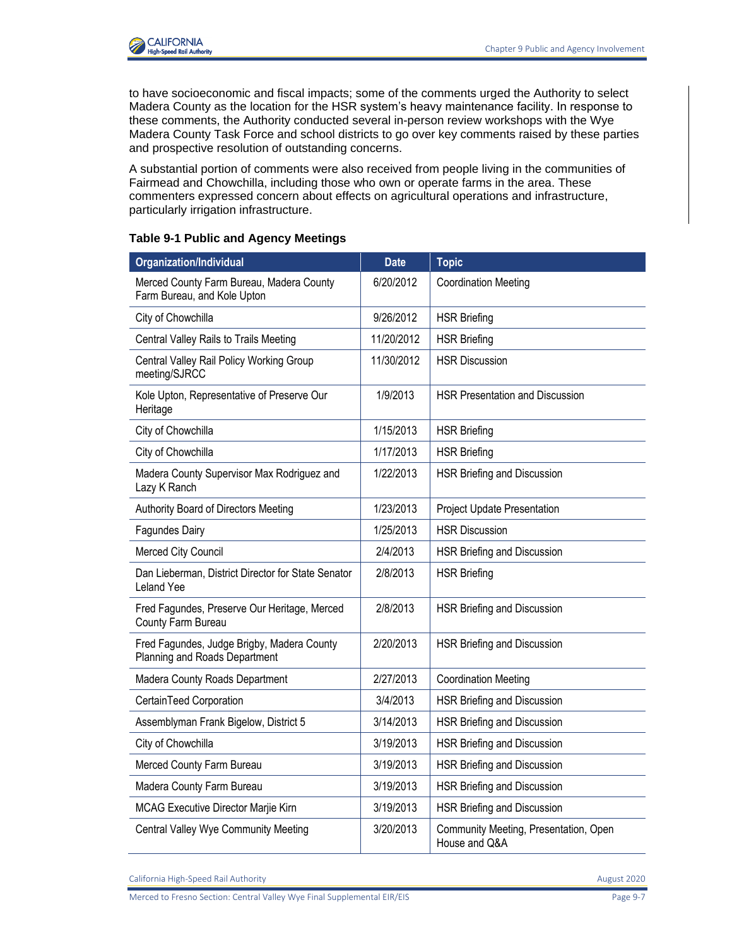

to have socioeconomic and fiscal impacts; some of the comments urged the Authority to select Madera County as the location for the HSR system's heavy maintenance facility. In response to these comments, the Authority conducted several in-person review workshops with the Wye Madera County Task Force and school districts to go over key comments raised by these parties and prospective resolution of outstanding concerns.

A substantial portion of comments were also received from people living in the communities of Fairmead and Chowchilla, including those who own or operate farms in the area. These commenters expressed concern about effects on agricultural operations and infrastructure, particularly irrigation infrastructure.

#### <span id="page-6-0"></span>**Table 9-1 Public and Agency Meetings**

| <b>Organization/Individual</b>                                              | <b>Date</b> | <b>Topic</b>                                           |
|-----------------------------------------------------------------------------|-------------|--------------------------------------------------------|
| Merced County Farm Bureau, Madera County<br>Farm Bureau, and Kole Upton     | 6/20/2012   | <b>Coordination Meeting</b>                            |
| City of Chowchilla                                                          | 9/26/2012   | <b>HSR Briefing</b>                                    |
| Central Valley Rails to Trails Meeting                                      | 11/20/2012  | <b>HSR Briefing</b>                                    |
| Central Valley Rail Policy Working Group<br>meeting/SJRCC                   | 11/30/2012  | <b>HSR Discussion</b>                                  |
| Kole Upton, Representative of Preserve Our<br>Heritage                      | 1/9/2013    | <b>HSR Presentation and Discussion</b>                 |
| City of Chowchilla                                                          | 1/15/2013   | <b>HSR Briefing</b>                                    |
| City of Chowchilla                                                          | 1/17/2013   | <b>HSR Briefing</b>                                    |
| Madera County Supervisor Max Rodriguez and<br>Lazy K Ranch                  | 1/22/2013   | HSR Briefing and Discussion                            |
| Authority Board of Directors Meeting                                        | 1/23/2013   | <b>Project Update Presentation</b>                     |
| Fagundes Dairy                                                              | 1/25/2013   | <b>HSR Discussion</b>                                  |
| Merced City Council                                                         | 2/4/2013    | HSR Briefing and Discussion                            |
| Dan Lieberman, District Director for State Senator<br>Leland Yee            | 2/8/2013    | <b>HSR Briefing</b>                                    |
| Fred Fagundes, Preserve Our Heritage, Merced<br>County Farm Bureau          | 2/8/2013    | HSR Briefing and Discussion                            |
| Fred Fagundes, Judge Brigby, Madera County<br>Planning and Roads Department | 2/20/2013   | HSR Briefing and Discussion                            |
| Madera County Roads Department                                              | 2/27/2013   | <b>Coordination Meeting</b>                            |
| CertainTeed Corporation                                                     | 3/4/2013    | HSR Briefing and Discussion                            |
| Assemblyman Frank Bigelow, District 5                                       | 3/14/2013   | HSR Briefing and Discussion                            |
| City of Chowchilla                                                          | 3/19/2013   | HSR Briefing and Discussion                            |
| Merced County Farm Bureau                                                   | 3/19/2013   | HSR Briefing and Discussion                            |
| Madera County Farm Bureau                                                   | 3/19/2013   | HSR Briefing and Discussion                            |
| <b>MCAG Executive Director Marjie Kirn</b>                                  | 3/19/2013   | HSR Briefing and Discussion                            |
| <b>Central Valley Wye Community Meeting</b>                                 | 3/20/2013   | Community Meeting, Presentation, Open<br>House and Q&A |

California High-Speed Rail Authority **August 2020 August 2020**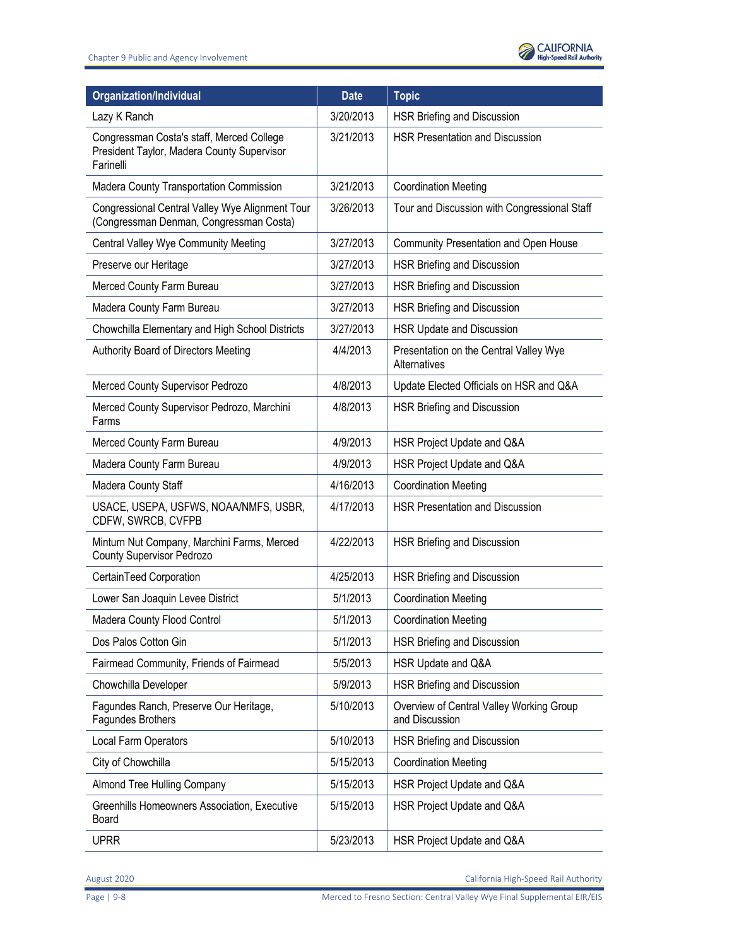

| <b>Organization/Individual</b>                                                                       | <b>Date</b> | <b>Topic</b>                                               |
|------------------------------------------------------------------------------------------------------|-------------|------------------------------------------------------------|
| Lazy K Ranch                                                                                         | 3/20/2013   | HSR Briefing and Discussion                                |
| Congressman Costa's staff, Merced College<br>President Taylor, Madera County Supervisor<br>Farinelli | 3/21/2013   | HSR Presentation and Discussion                            |
| Madera County Transportation Commission                                                              | 3/21/2013   | <b>Coordination Meeting</b>                                |
| Congressional Central Valley Wye Alignment Tour<br>(Congressman Denman, Congressman Costa)           | 3/26/2013   | Tour and Discussion with Congressional Staff               |
| <b>Central Valley Wye Community Meeting</b>                                                          | 3/27/2013   | Community Presentation and Open House                      |
| Preserve our Heritage                                                                                | 3/27/2013   | HSR Briefing and Discussion                                |
| Merced County Farm Bureau                                                                            | 3/27/2013   | HSR Briefing and Discussion                                |
| Madera County Farm Bureau                                                                            | 3/27/2013   | HSR Briefing and Discussion                                |
| Chowchilla Elementary and High School Districts                                                      | 3/27/2013   | HSR Update and Discussion                                  |
| Authority Board of Directors Meeting                                                                 | 4/4/2013    | Presentation on the Central Valley Wye<br>Alternatives     |
| Merced County Supervisor Pedrozo                                                                     | 4/8/2013    | Update Elected Officials on HSR and Q&A                    |
| Merced County Supervisor Pedrozo, Marchini<br>Farms                                                  | 4/8/2013    | HSR Briefing and Discussion                                |
| Merced County Farm Bureau                                                                            | 4/9/2013    | HSR Project Update and Q&A                                 |
| Madera County Farm Bureau                                                                            | 4/9/2013    | HSR Project Update and Q&A                                 |
| Madera County Staff                                                                                  | 4/16/2013   | <b>Coordination Meeting</b>                                |
| USACE, USEPA, USFWS, NOAA/NMFS, USBR,<br>CDFW, SWRCB, CVFPB                                          | 4/17/2013   | <b>HSR Presentation and Discussion</b>                     |
| Minturn Nut Company, Marchini Farms, Merced<br><b>County Supervisor Pedrozo</b>                      | 4/22/2013   | HSR Briefing and Discussion                                |
| CertainTeed Corporation                                                                              | 4/25/2013   | HSR Briefing and Discussion                                |
| Lower San Joaquin Levee District                                                                     | 5/1/2013    | <b>Coordination Meeting</b>                                |
| Madera County Flood Control                                                                          | 5/1/2013    | <b>Coordination Meeting</b>                                |
| Dos Palos Cotton Gin                                                                                 | 5/1/2013    | HSR Briefing and Discussion                                |
| Fairmead Community, Friends of Fairmead                                                              | 5/5/2013    | HSR Update and Q&A                                         |
| Chowchilla Developer                                                                                 | 5/9/2013    | HSR Briefing and Discussion                                |
| Fagundes Ranch, Preserve Our Heritage,<br>Fagundes Brothers                                          | 5/10/2013   | Overview of Central Valley Working Group<br>and Discussion |
| Local Farm Operators                                                                                 | 5/10/2013   | HSR Briefing and Discussion                                |
| City of Chowchilla                                                                                   | 5/15/2013   | <b>Coordination Meeting</b>                                |
| Almond Tree Hulling Company                                                                          | 5/15/2013   | HSR Project Update and Q&A                                 |
| Greenhills Homeowners Association, Executive<br>Board                                                | 5/15/2013   | HSR Project Update and Q&A                                 |
| <b>UPRR</b>                                                                                          | 5/23/2013   | HSR Project Update and Q&A                                 |

August 2020 California High-Speed Rail Authority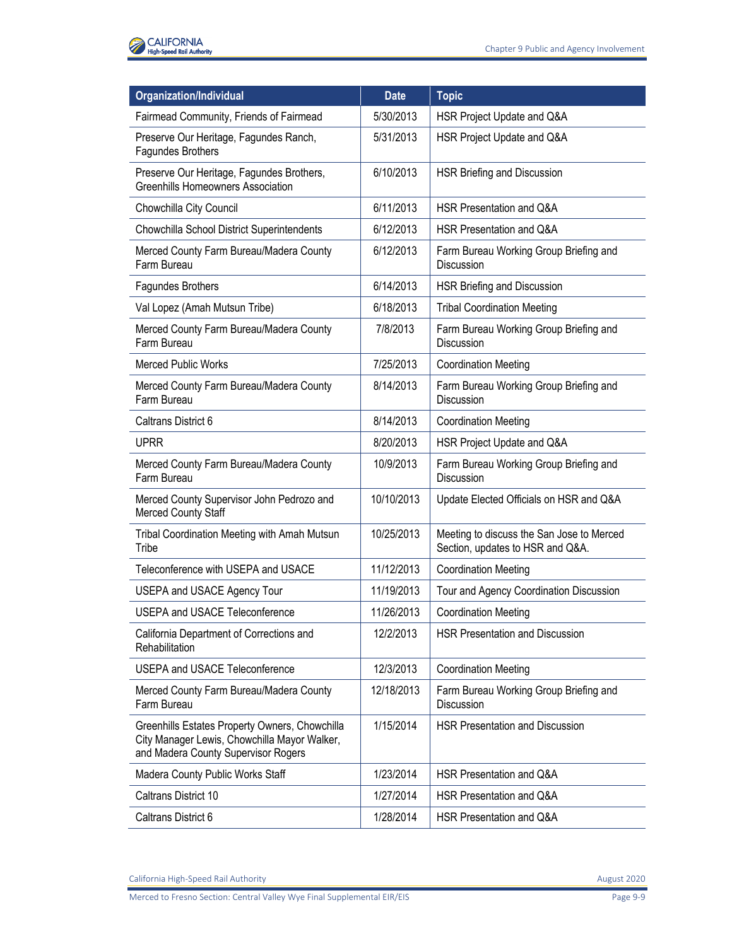

| <b>Organization/Individual</b>                                                                                                        | <b>Date</b> | <b>Topic</b>                                                                  |
|---------------------------------------------------------------------------------------------------------------------------------------|-------------|-------------------------------------------------------------------------------|
| Fairmead Community, Friends of Fairmead                                                                                               | 5/30/2013   | HSR Project Update and Q&A                                                    |
| Preserve Our Heritage, Fagundes Ranch,<br>Fagundes Brothers                                                                           | 5/31/2013   | HSR Project Update and Q&A                                                    |
| Preserve Our Heritage, Fagundes Brothers,<br><b>Greenhills Homeowners Association</b>                                                 | 6/10/2013   | HSR Briefing and Discussion                                                   |
| Chowchilla City Council                                                                                                               | 6/11/2013   | HSR Presentation and Q&A                                                      |
| Chowchilla School District Superintendents                                                                                            | 6/12/2013   | HSR Presentation and Q&A                                                      |
| Merced County Farm Bureau/Madera County<br>Farm Bureau                                                                                | 6/12/2013   | Farm Bureau Working Group Briefing and<br>Discussion                          |
| Fagundes Brothers                                                                                                                     | 6/14/2013   | HSR Briefing and Discussion                                                   |
| Val Lopez (Amah Mutsun Tribe)                                                                                                         | 6/18/2013   | <b>Tribal Coordination Meeting</b>                                            |
| Merced County Farm Bureau/Madera County<br>Farm Bureau                                                                                | 7/8/2013    | Farm Bureau Working Group Briefing and<br><b>Discussion</b>                   |
| <b>Merced Public Works</b>                                                                                                            | 7/25/2013   | <b>Coordination Meeting</b>                                                   |
| Merced County Farm Bureau/Madera County<br>Farm Bureau                                                                                | 8/14/2013   | Farm Bureau Working Group Briefing and<br>Discussion                          |
| Caltrans District 6                                                                                                                   | 8/14/2013   | <b>Coordination Meeting</b>                                                   |
| <b>UPRR</b>                                                                                                                           | 8/20/2013   | HSR Project Update and Q&A                                                    |
| Merced County Farm Bureau/Madera County<br>Farm Bureau                                                                                | 10/9/2013   | Farm Bureau Working Group Briefing and<br><b>Discussion</b>                   |
| Merced County Supervisor John Pedrozo and<br>Merced County Staff                                                                      | 10/10/2013  | Update Elected Officials on HSR and Q&A                                       |
| Tribal Coordination Meeting with Amah Mutsun<br>Tribe                                                                                 | 10/25/2013  | Meeting to discuss the San Jose to Merced<br>Section, updates to HSR and Q&A. |
| Teleconference with USEPA and USACE                                                                                                   | 11/12/2013  | <b>Coordination Meeting</b>                                                   |
| <b>USEPA and USACE Agency Tour</b>                                                                                                    | 11/19/2013  | Tour and Agency Coordination Discussion                                       |
| <b>USEPA and USACE Teleconference</b>                                                                                                 | 11/26/2013  | <b>Coordination Meeting</b>                                                   |
| California Department of Corrections and<br>Rehabilitation                                                                            | 12/2/2013   | HSR Presentation and Discussion                                               |
| <b>USEPA and USACE Teleconference</b>                                                                                                 | 12/3/2013   | <b>Coordination Meeting</b>                                                   |
| Merced County Farm Bureau/Madera County<br>Farm Bureau                                                                                | 12/18/2013  | Farm Bureau Working Group Briefing and<br>Discussion                          |
| Greenhills Estates Property Owners, Chowchilla<br>City Manager Lewis, Chowchilla Mayor Walker,<br>and Madera County Supervisor Rogers | 1/15/2014   | <b>HSR Presentation and Discussion</b>                                        |
| Madera County Public Works Staff                                                                                                      | 1/23/2014   | HSR Presentation and Q&A                                                      |
| Caltrans District 10                                                                                                                  | 1/27/2014   | HSR Presentation and Q&A                                                      |
| Caltrans District 6                                                                                                                   | 1/28/2014   | HSR Presentation and Q&A                                                      |

California High-Speed Rail Authority **August 2020** California High-Speed Rail Authority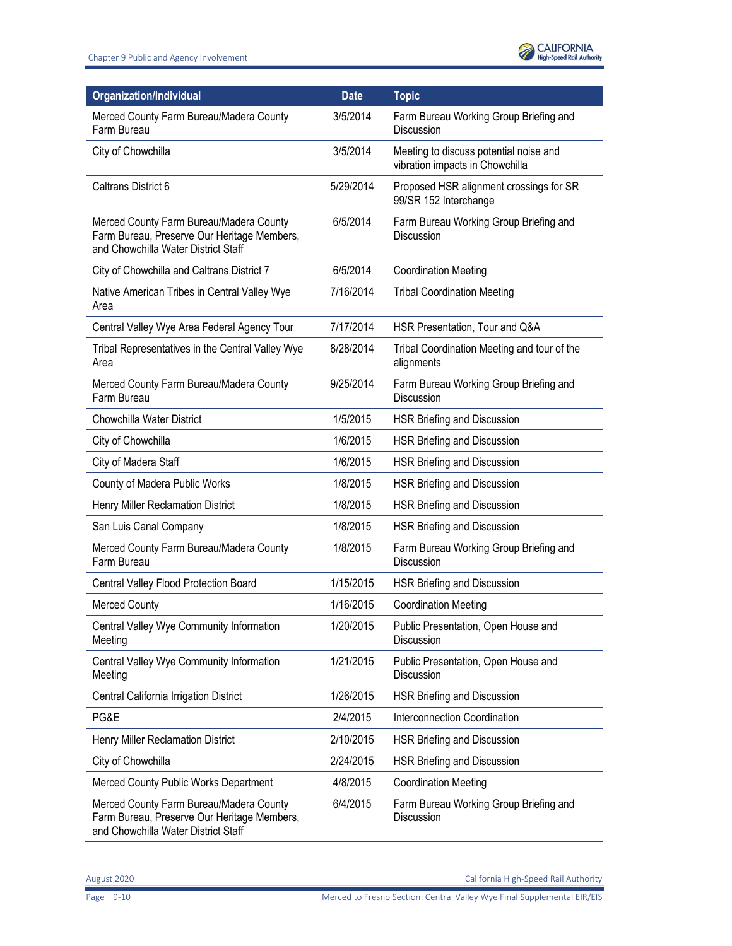

| Organization/Individual                                                                                                       | <b>Date</b> | <b>Topic</b>                                                              |
|-------------------------------------------------------------------------------------------------------------------------------|-------------|---------------------------------------------------------------------------|
| Merced County Farm Bureau/Madera County<br>Farm Bureau                                                                        | 3/5/2014    | Farm Bureau Working Group Briefing and<br><b>Discussion</b>               |
| City of Chowchilla                                                                                                            | 3/5/2014    | Meeting to discuss potential noise and<br>vibration impacts in Chowchilla |
| Caltrans District 6                                                                                                           | 5/29/2014   | Proposed HSR alignment crossings for SR<br>99/SR 152 Interchange          |
| Merced County Farm Bureau/Madera County<br>Farm Bureau, Preserve Our Heritage Members,<br>and Chowchilla Water District Staff | 6/5/2014    | Farm Bureau Working Group Briefing and<br><b>Discussion</b>               |
| City of Chowchilla and Caltrans District 7                                                                                    | 6/5/2014    | <b>Coordination Meeting</b>                                               |
| Native American Tribes in Central Valley Wye<br>Area                                                                          | 7/16/2014   | <b>Tribal Coordination Meeting</b>                                        |
| Central Valley Wye Area Federal Agency Tour                                                                                   | 7/17/2014   | HSR Presentation, Tour and Q&A                                            |
| Tribal Representatives in the Central Valley Wye<br>Area                                                                      | 8/28/2014   | Tribal Coordination Meeting and tour of the<br>alignments                 |
| Merced County Farm Bureau/Madera County<br>Farm Bureau                                                                        | 9/25/2014   | Farm Bureau Working Group Briefing and<br><b>Discussion</b>               |
| Chowchilla Water District                                                                                                     | 1/5/2015    | HSR Briefing and Discussion                                               |
| City of Chowchilla                                                                                                            | 1/6/2015    | HSR Briefing and Discussion                                               |
| City of Madera Staff                                                                                                          | 1/6/2015    | HSR Briefing and Discussion                                               |
| County of Madera Public Works                                                                                                 | 1/8/2015    | HSR Briefing and Discussion                                               |
| Henry Miller Reclamation District                                                                                             | 1/8/2015    | HSR Briefing and Discussion                                               |
| San Luis Canal Company                                                                                                        | 1/8/2015    | HSR Briefing and Discussion                                               |
| Merced County Farm Bureau/Madera County<br>Farm Bureau                                                                        | 1/8/2015    | Farm Bureau Working Group Briefing and<br>Discussion                      |
| Central Valley Flood Protection Board                                                                                         | 1/15/2015   | HSR Briefing and Discussion                                               |
| <b>Merced County</b>                                                                                                          | 1/16/2015   | <b>Coordination Meeting</b>                                               |
| Central Valley Wye Community Information<br>Meeting                                                                           | 1/20/2015   | Public Presentation, Open House and<br>Discussion                         |
| Central Valley Wye Community Information<br>Meeting                                                                           | 1/21/2015   | Public Presentation, Open House and<br>Discussion                         |
| Central California Irrigation District                                                                                        | 1/26/2015   | HSR Briefing and Discussion                                               |
| PG&E                                                                                                                          | 2/4/2015    | Interconnection Coordination                                              |
| Henry Miller Reclamation District                                                                                             | 2/10/2015   | HSR Briefing and Discussion                                               |
| City of Chowchilla                                                                                                            | 2/24/2015   | HSR Briefing and Discussion                                               |
| Merced County Public Works Department                                                                                         | 4/8/2015    | <b>Coordination Meeting</b>                                               |
| Merced County Farm Bureau/Madera County<br>Farm Bureau, Preserve Our Heritage Members,<br>and Chowchilla Water District Staff | 6/4/2015    | Farm Bureau Working Group Briefing and<br><b>Discussion</b>               |

August 2020 California High-Speed Rail Authority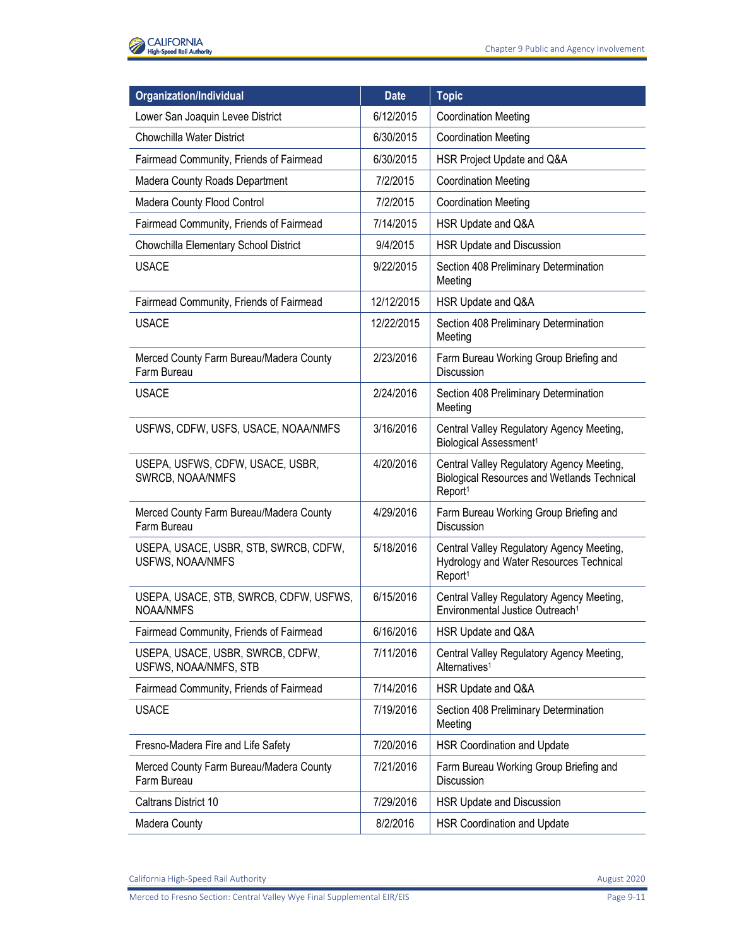

| Organization/Individual                                    | <b>Date</b> | <b>Topic</b>                                                                                                           |
|------------------------------------------------------------|-------------|------------------------------------------------------------------------------------------------------------------------|
| Lower San Joaquin Levee District                           | 6/12/2015   | <b>Coordination Meeting</b>                                                                                            |
| Chowchilla Water District                                  | 6/30/2015   | <b>Coordination Meeting</b>                                                                                            |
| Fairmead Community, Friends of Fairmead                    | 6/30/2015   | HSR Project Update and Q&A                                                                                             |
| Madera County Roads Department                             | 7/2/2015    | <b>Coordination Meeting</b>                                                                                            |
| Madera County Flood Control                                | 7/2/2015    | <b>Coordination Meeting</b>                                                                                            |
| Fairmead Community, Friends of Fairmead                    | 7/14/2015   | HSR Update and Q&A                                                                                                     |
| Chowchilla Elementary School District                      | 9/4/2015    | HSR Update and Discussion                                                                                              |
| <b>USACE</b>                                               | 9/22/2015   | Section 408 Preliminary Determination<br>Meeting                                                                       |
| Fairmead Community, Friends of Fairmead                    | 12/12/2015  | HSR Update and Q&A                                                                                                     |
| <b>USACE</b>                                               | 12/22/2015  | Section 408 Preliminary Determination<br>Meeting                                                                       |
| Merced County Farm Bureau/Madera County<br>Farm Bureau     | 2/23/2016   | Farm Bureau Working Group Briefing and<br>Discussion                                                                   |
| <b>USACE</b>                                               | 2/24/2016   | Section 408 Preliminary Determination<br>Meeting                                                                       |
| USFWS, CDFW, USFS, USACE, NOAA/NMFS                        | 3/16/2016   | Central Valley Regulatory Agency Meeting,<br>Biological Assessment <sup>1</sup>                                        |
| USEPA, USFWS, CDFW, USACE, USBR,<br>SWRCB, NOAA/NMFS       | 4/20/2016   | Central Valley Regulatory Agency Meeting,<br><b>Biological Resources and Wetlands Technical</b><br>Report <sup>1</sup> |
| Merced County Farm Bureau/Madera County<br>Farm Bureau     | 4/29/2016   | Farm Bureau Working Group Briefing and<br><b>Discussion</b>                                                            |
| USEPA, USACE, USBR, STB, SWRCB, CDFW,<br>USFWS, NOAA/NMFS  | 5/18/2016   | Central Valley Regulatory Agency Meeting,<br>Hydrology and Water Resources Technical<br>Report <sup>1</sup>            |
| USEPA, USACE, STB, SWRCB, CDFW, USFWS,<br><b>NOAA/NMFS</b> | 6/15/2016   | Central Valley Regulatory Agency Meeting,<br>Environmental Justice Outreach <sup>1</sup>                               |
| Fairmead Community, Friends of Fairmead                    | 6/16/2016   | HSR Update and Q&A                                                                                                     |
| USEPA, USACE, USBR, SWRCB, CDFW,<br>USFWS, NOAA/NMFS, STB  | 7/11/2016   | Central Valley Regulatory Agency Meeting,<br>Alternatives <sup>1</sup>                                                 |
| Fairmead Community, Friends of Fairmead                    | 7/14/2016   | HSR Update and Q&A                                                                                                     |
| <b>USACE</b>                                               | 7/19/2016   | Section 408 Preliminary Determination<br>Meeting                                                                       |
| Fresno-Madera Fire and Life Safety                         | 7/20/2016   | <b>HSR Coordination and Update</b>                                                                                     |
| Merced County Farm Bureau/Madera County<br>Farm Bureau     | 7/21/2016   | Farm Bureau Working Group Briefing and<br>Discussion                                                                   |
| Caltrans District 10                                       | 7/29/2016   | HSR Update and Discussion                                                                                              |
| Madera County                                              | 8/2/2016    | <b>HSR Coordination and Update</b>                                                                                     |

California High-Speed Rail Authority **August 2020** California High-Speed Rail Authority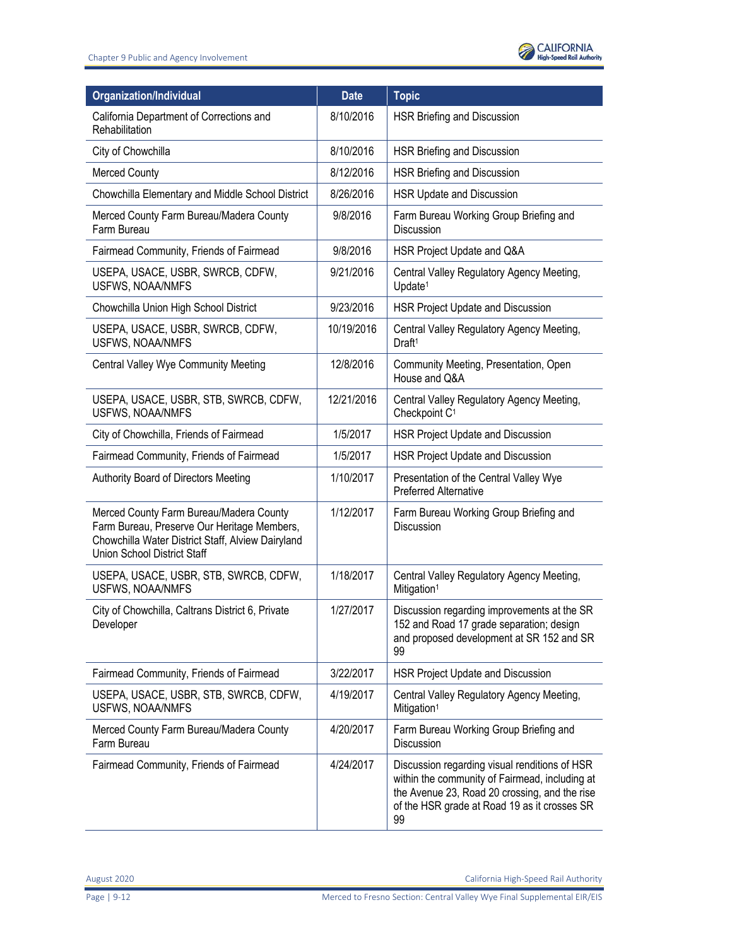

| Organization/Individual                                                                                                                                                           | <b>Date</b> | <b>Topic</b>                                                                                                                                                                                           |
|-----------------------------------------------------------------------------------------------------------------------------------------------------------------------------------|-------------|--------------------------------------------------------------------------------------------------------------------------------------------------------------------------------------------------------|
| California Department of Corrections and<br>Rehabilitation                                                                                                                        | 8/10/2016   | HSR Briefing and Discussion                                                                                                                                                                            |
| City of Chowchilla                                                                                                                                                                | 8/10/2016   | HSR Briefing and Discussion                                                                                                                                                                            |
| <b>Merced County</b>                                                                                                                                                              | 8/12/2016   | HSR Briefing and Discussion                                                                                                                                                                            |
| Chowchilla Elementary and Middle School District                                                                                                                                  | 8/26/2016   | HSR Update and Discussion                                                                                                                                                                              |
| Merced County Farm Bureau/Madera County<br>Farm Bureau                                                                                                                            | 9/8/2016    | Farm Bureau Working Group Briefing and<br>Discussion                                                                                                                                                   |
| Fairmead Community, Friends of Fairmead                                                                                                                                           | 9/8/2016    | HSR Project Update and Q&A                                                                                                                                                                             |
| USEPA, USACE, USBR, SWRCB, CDFW,<br>USFWS, NOAA/NMFS                                                                                                                              | 9/21/2016   | Central Valley Regulatory Agency Meeting,<br>Update <sup>1</sup>                                                                                                                                       |
| Chowchilla Union High School District                                                                                                                                             | 9/23/2016   | HSR Project Update and Discussion                                                                                                                                                                      |
| USEPA, USACE, USBR, SWRCB, CDFW,<br>USFWS, NOAA/NMFS                                                                                                                              | 10/19/2016  | Central Valley Regulatory Agency Meeting,<br>Draft <sup>1</sup>                                                                                                                                        |
| <b>Central Valley Wye Community Meeting</b>                                                                                                                                       | 12/8/2016   | Community Meeting, Presentation, Open<br>House and Q&A                                                                                                                                                 |
| USEPA, USACE, USBR, STB, SWRCB, CDFW,<br><b>USFWS, NOAA/NMFS</b>                                                                                                                  | 12/21/2016  | Central Valley Regulatory Agency Meeting,<br>Checkpoint C <sup>1</sup>                                                                                                                                 |
| City of Chowchilla, Friends of Fairmead                                                                                                                                           | 1/5/2017    | HSR Project Update and Discussion                                                                                                                                                                      |
| Fairmead Community, Friends of Fairmead                                                                                                                                           | 1/5/2017    | HSR Project Update and Discussion                                                                                                                                                                      |
| Authority Board of Directors Meeting                                                                                                                                              | 1/10/2017   | Presentation of the Central Valley Wye<br><b>Preferred Alternative</b>                                                                                                                                 |
| Merced County Farm Bureau/Madera County<br>Farm Bureau, Preserve Our Heritage Members,<br>Chowchilla Water District Staff, Alview Dairyland<br><b>Union School District Staff</b> | 1/12/2017   | Farm Bureau Working Group Briefing and<br>Discussion                                                                                                                                                   |
| USEPA, USACE, USBR, STB, SWRCB, CDFW,<br><b>USFWS, NOAA/NMFS</b>                                                                                                                  | 1/18/2017   | Central Valley Regulatory Agency Meeting,<br>Mitigation <sup>1</sup>                                                                                                                                   |
| City of Chowchilla, Caltrans District 6, Private<br>Developer                                                                                                                     | 1/27/2017   | Discussion regarding improvements at the SR<br>152 and Road 17 grade separation; design<br>and proposed development at SR 152 and SR<br>99                                                             |
| Fairmead Community, Friends of Fairmead                                                                                                                                           | 3/22/2017   | HSR Project Update and Discussion                                                                                                                                                                      |
| USEPA, USACE, USBR, STB, SWRCB, CDFW,<br>USFWS, NOAA/NMFS                                                                                                                         | 4/19/2017   | Central Valley Regulatory Agency Meeting,<br>Mitigation <sup>1</sup>                                                                                                                                   |
| Merced County Farm Bureau/Madera County<br>Farm Bureau                                                                                                                            | 4/20/2017   | Farm Bureau Working Group Briefing and<br>Discussion                                                                                                                                                   |
| Fairmead Community, Friends of Fairmead                                                                                                                                           | 4/24/2017   | Discussion regarding visual renditions of HSR<br>within the community of Fairmead, including at<br>the Avenue 23, Road 20 crossing, and the rise<br>of the HSR grade at Road 19 as it crosses SR<br>99 |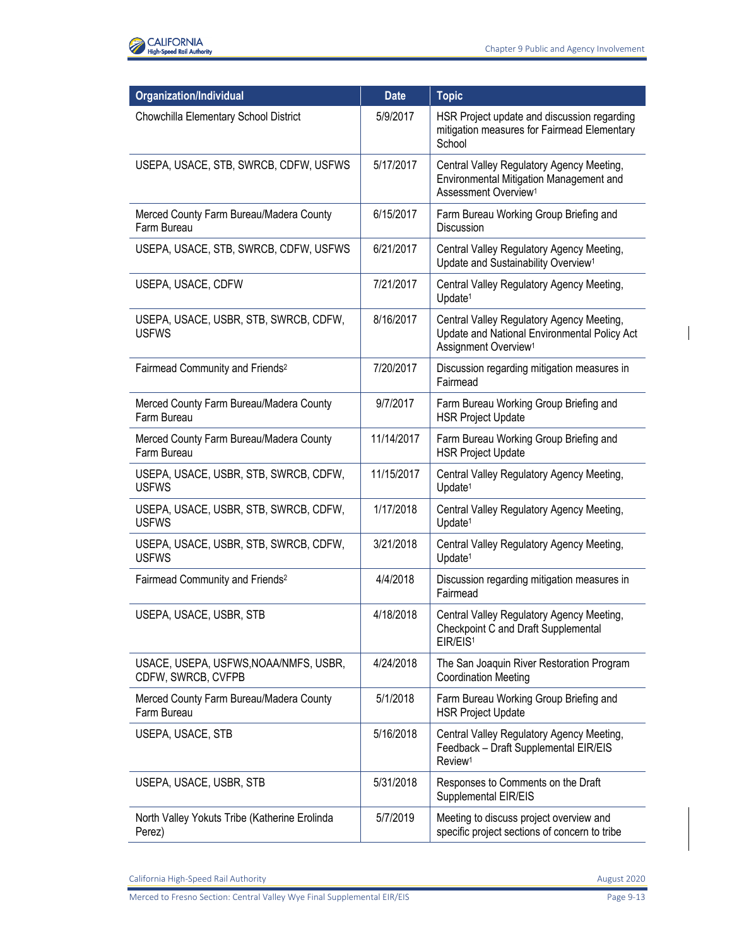

| Organization/Individual                                     | <b>Date</b> | <b>Topic</b>                                                                                                                  |
|-------------------------------------------------------------|-------------|-------------------------------------------------------------------------------------------------------------------------------|
| Chowchilla Elementary School District                       | 5/9/2017    | HSR Project update and discussion regarding<br>mitigation measures for Fairmead Elementary<br>School                          |
| USEPA, USACE, STB, SWRCB, CDFW, USFWS                       | 5/17/2017   | Central Valley Regulatory Agency Meeting,<br>Environmental Mitigation Management and<br>Assessment Overview <sup>1</sup>      |
| Merced County Farm Bureau/Madera County<br>Farm Bureau      | 6/15/2017   | Farm Bureau Working Group Briefing and<br>Discussion                                                                          |
| USEPA, USACE, STB, SWRCB, CDFW, USFWS                       | 6/21/2017   | Central Valley Regulatory Agency Meeting,<br>Update and Sustainability Overview <sup>1</sup>                                  |
| USEPA, USACE, CDFW                                          | 7/21/2017   | Central Valley Regulatory Agency Meeting,<br>Update <sup>1</sup>                                                              |
| USEPA, USACE, USBR, STB, SWRCB, CDFW,<br><b>USFWS</b>       | 8/16/2017   | Central Valley Regulatory Agency Meeting,<br>Update and National Environmental Policy Act<br>Assignment Overview <sup>1</sup> |
| Fairmead Community and Friends <sup>2</sup>                 | 7/20/2017   | Discussion regarding mitigation measures in<br>Fairmead                                                                       |
| Merced County Farm Bureau/Madera County<br>Farm Bureau      | 9/7/2017    | Farm Bureau Working Group Briefing and<br><b>HSR Project Update</b>                                                           |
| Merced County Farm Bureau/Madera County<br>Farm Bureau      | 11/14/2017  | Farm Bureau Working Group Briefing and<br><b>HSR Project Update</b>                                                           |
| USEPA, USACE, USBR, STB, SWRCB, CDFW,<br><b>USFWS</b>       | 11/15/2017  | Central Valley Regulatory Agency Meeting,<br>Update <sup>1</sup>                                                              |
| USEPA, USACE, USBR, STB, SWRCB, CDFW,<br><b>USFWS</b>       | 1/17/2018   | Central Valley Regulatory Agency Meeting,<br>Update <sup>1</sup>                                                              |
| USEPA, USACE, USBR, STB, SWRCB, CDFW,<br><b>USFWS</b>       | 3/21/2018   | Central Valley Regulatory Agency Meeting,<br>Update <sup>1</sup>                                                              |
| Fairmead Community and Friends <sup>2</sup>                 | 4/4/2018    | Discussion regarding mitigation measures in<br>Fairmead                                                                       |
| USEPA, USACE, USBR, STB                                     | 4/18/2018   | Central Valley Regulatory Agency Meeting,<br>Checkpoint C and Draft Supplemental<br>EIR/EIS <sup>1</sup>                      |
| USACE, USEPA, USFWS, NOAA/NMFS, USBR,<br>CDFW, SWRCB, CVFPB | 4/24/2018   | The San Joaquin River Restoration Program<br><b>Coordination Meeting</b>                                                      |
| Merced County Farm Bureau/Madera County<br>Farm Bureau      | 5/1/2018    | Farm Bureau Working Group Briefing and<br><b>HSR Project Update</b>                                                           |
| USEPA, USACE, STB                                           | 5/16/2018   | Central Valley Regulatory Agency Meeting,<br>Feedback - Draft Supplemental EIR/EIS<br>Review <sup>1</sup>                     |
| USEPA, USACE, USBR, STB                                     | 5/31/2018   | Responses to Comments on the Draft<br>Supplemental EIR/EIS                                                                    |
| North Valley Yokuts Tribe (Katherine Erolinda<br>Perez)     | 5/7/2019    | Meeting to discuss project overview and<br>specific project sections of concern to tribe                                      |

California High-Speed Rail Authority **August 2020** California High-Speed Rail Authority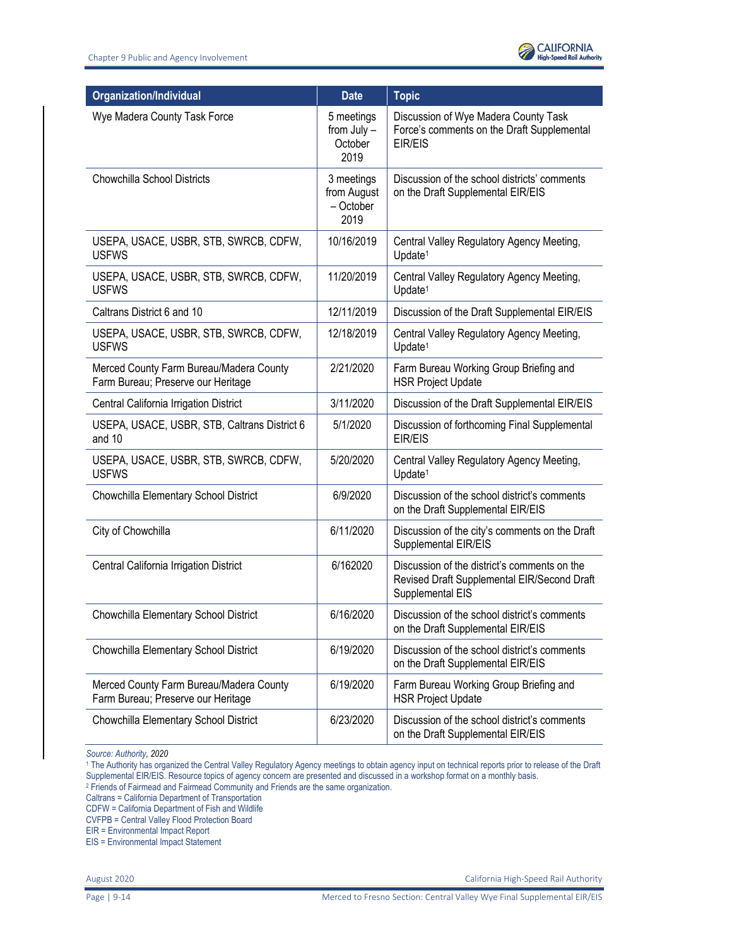

| <b>Organization/Individual</b>                                                | <b>Date</b>                                    | <b>Topic</b>                                                                                                    |
|-------------------------------------------------------------------------------|------------------------------------------------|-----------------------------------------------------------------------------------------------------------------|
| Wye Madera County Task Force                                                  | 5 meetings<br>from July -<br>October<br>2019   | Discussion of Wye Madera County Task<br>Force's comments on the Draft Supplemental<br>EIR/EIS                   |
| <b>Chowchilla School Districts</b>                                            | 3 meetings<br>from August<br>- October<br>2019 | Discussion of the school districts' comments<br>on the Draft Supplemental EIR/EIS                               |
| USEPA, USACE, USBR, STB, SWRCB, CDFW,<br><b>USFWS</b>                         | 10/16/2019                                     | Central Valley Regulatory Agency Meeting,<br>Update <sup>1</sup>                                                |
| USEPA, USACE, USBR, STB, SWRCB, CDFW,<br><b>USFWS</b>                         | 11/20/2019                                     | Central Valley Regulatory Agency Meeting,<br>Update <sup>1</sup>                                                |
| Caltrans District 6 and 10                                                    | 12/11/2019                                     | Discussion of the Draft Supplemental EIR/EIS                                                                    |
| USEPA, USACE, USBR, STB, SWRCB, CDFW,<br><b>USFWS</b>                         | 12/18/2019                                     | Central Valley Regulatory Agency Meeting,<br>Update <sup>1</sup>                                                |
| Merced County Farm Bureau/Madera County<br>Farm Bureau; Preserve our Heritage | 2/21/2020                                      | Farm Bureau Working Group Briefing and<br><b>HSR Project Update</b>                                             |
| Central California Irrigation District                                        | 3/11/2020                                      | Discussion of the Draft Supplemental EIR/EIS                                                                    |
| USEPA, USACE, USBR, STB, Caltrans District 6<br>and 10                        | 5/1/2020                                       | Discussion of forthcoming Final Supplemental<br>EIR/EIS                                                         |
| USEPA, USACE, USBR, STB, SWRCB, CDFW,<br><b>USFWS</b>                         | 5/20/2020                                      | Central Valley Regulatory Agency Meeting,<br>Update <sup>1</sup>                                                |
| Chowchilla Elementary School District                                         | 6/9/2020                                       | Discussion of the school district's comments<br>on the Draft Supplemental EIR/EIS                               |
| City of Chowchilla                                                            | 6/11/2020                                      | Discussion of the city's comments on the Draft<br>Supplemental EIR/EIS                                          |
| Central California Irrigation District                                        | 6/162020                                       | Discussion of the district's comments on the<br>Revised Draft Supplemental EIR/Second Draft<br>Supplemental EIS |
| Chowchilla Elementary School District                                         | 6/16/2020                                      | Discussion of the school district's comments<br>on the Draft Supplemental EIR/EIS                               |
| Chowchilla Elementary School District                                         | 6/19/2020                                      | Discussion of the school district's comments<br>on the Draft Supplemental EIR/EIS                               |
| Merced County Farm Bureau/Madera County<br>Farm Bureau; Preserve our Heritage | 6/19/2020                                      | Farm Bureau Working Group Briefing and<br><b>HSR Project Update</b>                                             |
| Chowchilla Elementary School District                                         | 6/23/2020                                      | Discussion of the school district's comments<br>on the Draft Supplemental EIR/EIS                               |

*Source: Authority, 2020* 

<sup>1</sup> The Authority has organized the Central Valley Regulatory Agency meetings to obtain agency input on technical reports prior to release of the Draft Supplemental EIR/EIS. Resource topics of agency concern are presented and discussed in a workshop format on a monthly basis. 2 Friends of Fairmead and Fairmead Community and Friends are the same organization.

Caltrans = California Department of Transportation

CDFW = California Department of Fish and Wildlife

CVFPB = Central Valley Flood Protection Board

EIR = Environmental Impact Report

EIS = Environmental Impact Statement